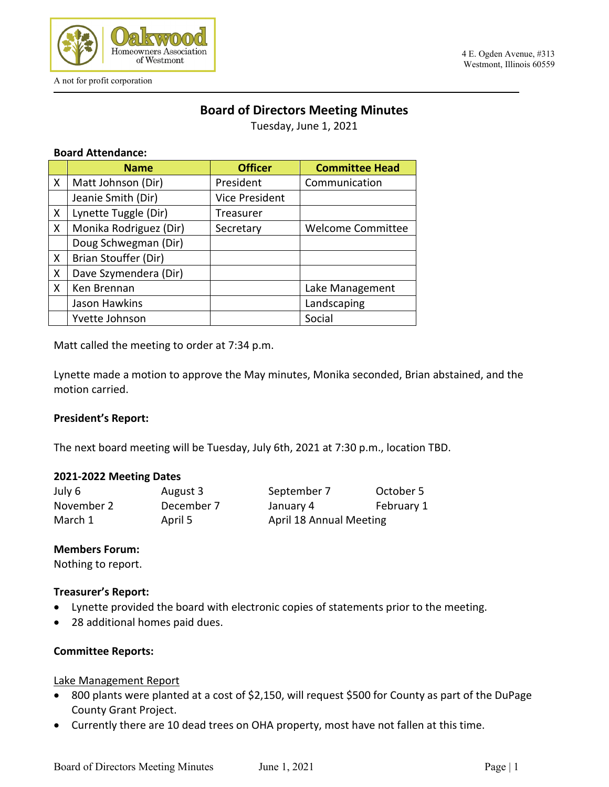

A not for profit corporation

#### 4 E. Ogden Avenue, #313 Westmont, Illinois 60559

## **Board of Directors Meeting Minutes**

Tuesday, June 1, 2021

### **Board Attendance:**

|              | <b>Name</b>            | <b>Officer</b>        | <b>Committee Head</b>    |
|--------------|------------------------|-----------------------|--------------------------|
| X            | Matt Johnson (Dir)     | President             | Communication            |
|              | Jeanie Smith (Dir)     | <b>Vice President</b> |                          |
| X            | Lynette Tuggle (Dir)   | Treasurer             |                          |
| X            | Monika Rodriguez (Dir) | Secretary             | <b>Welcome Committee</b> |
|              | Doug Schwegman (Dir)   |                       |                          |
| $\mathsf{X}$ | Brian Stouffer (Dir)   |                       |                          |
| X            | Dave Szymendera (Dir)  |                       |                          |
| X            | Ken Brennan            |                       | Lake Management          |
|              | Jason Hawkins          |                       | Landscaping              |
|              | Yvette Johnson         |                       | Social                   |

Matt called the meeting to order at 7:34 p.m.

Lynette made a motion to approve the May minutes, Monika seconded, Brian abstained, and the motion carried.

### **President's Report:**

The next board meeting will be Tuesday, July 6th, 2021 at 7:30 p.m., location TBD.

### **2021-2022 Meeting Dates**

| July 6     | August 3   | September 7             | October 5  |
|------------|------------|-------------------------|------------|
| November 2 | December 7 | January 4               | February 1 |
| March 1    | April 5    | April 18 Annual Meeting |            |

### **Members Forum:**

Nothing to report.

### **Treasurer's Report:**

- Lynette provided the board with electronic copies of statements prior to the meeting.
- 28 additional homes paid dues.

### **Committee Reports:**

### Lake Management Report

- 800 plants were planted at a cost of \$2,150, will request \$500 for County as part of the DuPage County Grant Project.
- Currently there are 10 dead trees on OHA property, most have not fallen at this time.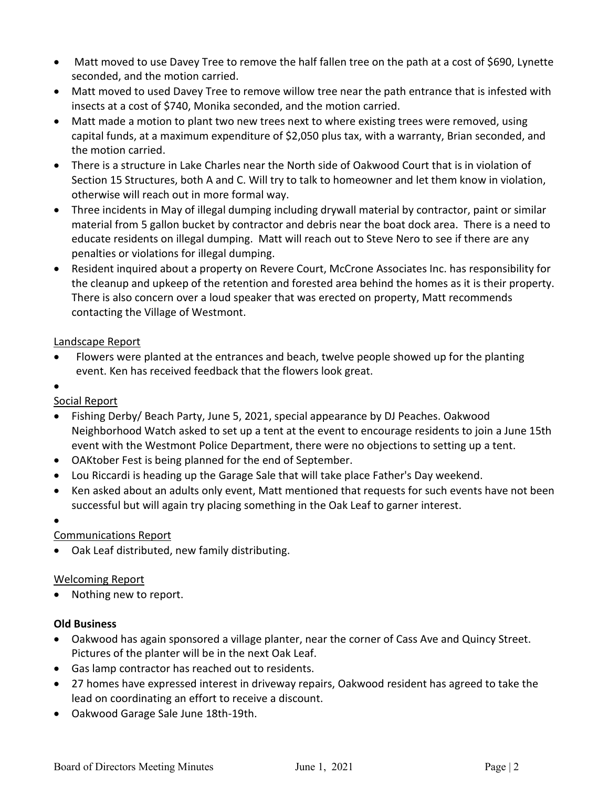- Matt moved to use Davey Tree to remove the half fallen tree on the path at a cost of \$690, Lynette seconded, and the motion carried.
- Matt moved to used Davey Tree to remove willow tree near the path entrance that is infested with insects at a cost of \$740, Monika seconded, and the motion carried.
- Matt made a motion to plant two new trees next to where existing trees were removed, using capital funds, at a maximum expenditure of \$2,050 plus tax, with a warranty, Brian seconded, and the motion carried.
- There is a structure in Lake Charles near the North side of Oakwood Court that is in violation of Section 15 Structures, both A and C. Will try to talk to homeowner and let them know in violation, otherwise will reach out in more formal way.
- Three incidents in May of illegal dumping including drywall material by contractor, paint or similar material from 5 gallon bucket by contractor and debris near the boat dock area. There is a need to educate residents on illegal dumping. Matt will reach out to Steve Nero to see if there are any penalties or violations for illegal dumping.
- Resident inquired about a property on Revere Court, McCrone Associates Inc. has responsibility for the cleanup and upkeep of the retention and forested area behind the homes as it is their property. There is also concern over a loud speaker that was erected on property, Matt recommends contacting the Village of Westmont.

### Landscape Report

- Flowers were planted at the entrances and beach, twelve people showed up for the planting event. Ken has received feedback that the flowers look great.
- •

## Social Report

- Fishing Derby/ Beach Party, June 5, 2021, special appearance by DJ Peaches. Oakwood Neighborhood Watch asked to set up a tent at the event to encourage residents to join a June 15th event with the Westmont Police Department, there were no objections to setting up a tent.
- OAKtober Fest is being planned for the end of September.
- Lou Riccardi is heading up the Garage Sale that will take place Father's Day weekend.
- Ken asked about an adults only event, Matt mentioned that requests for such events have not been successful but will again try placing something in the Oak Leaf to garner interest.
- •

# Communications Report

• Oak Leaf distributed, new family distributing.

## Welcoming Report

• Nothing new to report.

## **Old Business**

- Oakwood has again sponsored a village planter, near the corner of Cass Ave and Quincy Street. Pictures of the planter will be in the next Oak Leaf.
- Gas lamp contractor has reached out to residents.
- 27 homes have expressed interest in driveway repairs, Oakwood resident has agreed to take the lead on coordinating an effort to receive a discount.
- Oakwood Garage Sale June 18th-19th.